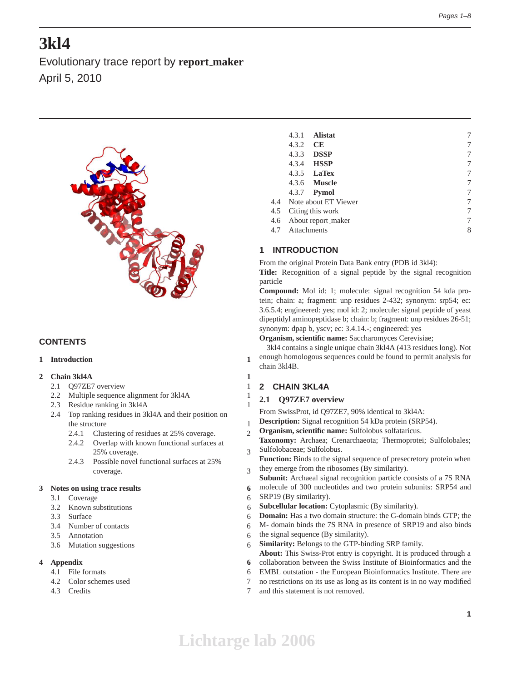# **3kl4**

Evolutionary trace report by **report maker** April 5, 2010



# **CONTENTS**

# **1 Introduction 1**

# **2 Chain 3kl4A 1**

- 2.1 Q97ZE7 overview 1
- 2.2 Multiple sequence alignment for 3kl4A 1
- 2.3 Residue ranking in 3kl4A 1
- 2.4 Top ranking residues in 3kl4A and their position on the structure 1
	- 2.4.1 Clustering of residues at 25% coverage. 2
	- 2.4.2 Overlap with known functional surfaces at 25% coverage. 3
	- 2.4.3 Possible novel functional surfaces at 25% coverage. 3

### **3 Notes on using trace results 6**

- 3.1 Coverage 6
- 3.2 Known substitutions 6
- 3.3 Surface 6
- 3.4 Number of contacts 6
- 3.5 Annotation 6
- 3.6 Mutation suggestions 6

# **4 Appendix 6**

- 4.1 File formats 6
- 4.2 Color schemes used 7
- 4.3 Credits 7

|     | 4.3.1           | <b>Alistat</b>       | 7 |
|-----|-----------------|----------------------|---|
|     | 4.3.2           | <b>CE</b>            | 7 |
|     | 4.3.3           | <b>DSSP</b>          | 7 |
|     | 4.3.4           | <b>HSSP</b>          | 7 |
|     |                 | $4.3.5$ LaTex        | 7 |
|     |                 | 4.3.6 <b>Muscle</b>  | 7 |
|     |                 | 4.3.7 <b>Pymol</b>   | 7 |
| 4.4 |                 | Note about ET Viewer | 7 |
| 4.5 |                 | Citing this work     | 7 |
| 4.6 |                 | About report_maker   | 7 |
|     | 4.7 Attachments |                      | 8 |
|     |                 |                      |   |

# **1 INTRODUCTION**

From the original Protein Data Bank entry (PDB id 3kl4):

**Title:** Recognition of a signal peptide by the signal recognition particle

**Compound:** Mol id: 1; molecule: signal recognition 54 kda protein; chain: a; fragment: unp residues 2-432; synonym: srp54; ec: 3.6.5.4; engineered: yes; mol id: 2; molecule: signal peptide of yeast dipeptidyl aminopeptidase b; chain: b; fragment: unp residues 26-51; synonym: dpap b, yscv; ec: 3.4.14.-; engineered: yes

**Organism, scientific name:** Saccharomyces Cerevisiae;

3kl4 contains a single unique chain 3kl4A (413 residues long). Not enough homologous sequences could be found to permit analysis for chain 3kl4B.

# **2 CHAIN 3KL4A**

# **2.1 Q97ZE7 overview**

From SwissProt, id Q97ZE7, 90% identical to 3kl4A:

**Description:** Signal recognition 54 kDa protein (SRP54).

- **Organism, scientific name:** Sulfolobus solfataricus.
- **Taxonomy:** Archaea; Crenarchaeota; Thermoprotei; Sulfolobales; Sulfolobaceae; Sulfolobus.
- **Function:** Binds to the signal sequence of presecretory protein when they emerge from the ribosomes (By similarity).
	- **Subunit:** Archaeal signal recognition particle consists of a 7S RNA
- molecule of 300 nucleotides and two protein subunits: SRP54 and
- SRP19 (By similarity).
- **Subcellular location:** Cytoplasmic (By similarity).
- **Domain:** Has a two domain structure: the G-domain binds GTP; the
- M- domain binds the 7S RNA in presence of SRP19 and also binds
- the signal sequence (By similarity).
- **Similarity:** Belongs to the GTP-binding SRP family.
- **About:** This Swiss-Prot entry is copyright. It is produced through a
- collaboration between the Swiss Institute of Bioinformatics and the
- EMBL outstation the European Bioinformatics Institute. There are
- no restrictions on its use as long as its content is in no way modified
- and this statement is not removed.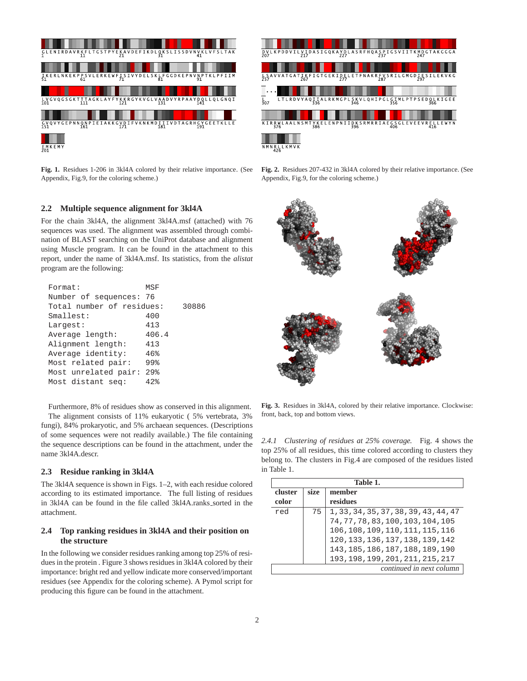

K P D D V I L V I D A S I G Q K A Y D L A S R F H Q A S P I G S V I I T K M D G<br>247 L S A V V A T G A T I K F I G T G E K I D E L E T F N A K R F V S R I L G M G D I E S I L E K V K G **CLCIMLF**  $\frac{1}{307}$  $L_{346}$ KIRRWLAALNSMTYKELENPNIIDKSRMRRIAEGSGLEVEEVRELLEWYN NMNRLLKMVK

**Fig. 1.** Residues 1-206 in 3kl4A colored by their relative importance. (See Appendix, Fig.9, for the coloring scheme.)

### **Fig. 2.** Residues 207-432 in 3kl4A colored by their relative importance. (See Appendix, Fig.9, for the coloring scheme.)

# **2.2 Multiple sequence alignment for 3kl4A**

For the chain 3kl4A, the alignment 3kl4A.msf (attached) with 76 sequences was used. The alignment was assembled through combination of BLAST searching on the UniProt database and alignment using Muscle program. It can be found in the attachment to this report, under the name of 3kl4A.msf. Its statistics, from the *alistat* program are the following:

| Format:                   | MSF               |       |
|---------------------------|-------------------|-------|
| Number of sequences: 76   |                   |       |
| Total number of residues: |                   | 30886 |
| Smallest:                 | 400               |       |
| Largest:                  | 413               |       |
| Average length:           | 406.4             |       |
| Alignment length:         | 413               |       |
| Average identity:         | 46%               |       |
| Most related pair:        | 99%               |       |
| Most unrelated pair:      | $29$ <sup>2</sup> |       |
| Most distant seq:         | 42%               |       |
|                           |                   |       |

Furthermore, 8% of residues show as conserved in this alignment. The alignment consists of 11% eukaryotic ( 5% vertebrata, 3% fungi), 84% prokaryotic, and 5% archaean sequences. (Descriptions of some sequences were not readily available.) The file containing the sequence descriptions can be found in the attachment, under the name 3kl4A.descr.

### **2.3 Residue ranking in 3kl4A**

The 3kl4A sequence is shown in Figs. 1–2, with each residue colored according to its estimated importance. The full listing of residues in 3kl4A can be found in the file called 3kl4A.ranks\_sorted in the attachment.

# **2.4 Top ranking residues in 3kl4A and their position on the structure**

In the following we consider residues ranking among top 25% of residues in the protein . Figure 3 shows residues in 3kl4A colored by their importance: bright red and yellow indicate more conserved/important residues (see Appendix for the coloring scheme). A Pymol script for producing this figure can be found in the attachment.



**Fig. 3.** Residues in 3kl4A, colored by their relative importance. Clockwise: front, back, top and bottom views.

*2.4.1 Clustering of residues at 25% coverage.* Fig. 4 shows the top 25% of all residues, this time colored according to clusters they belong to. The clusters in Fig.4 are composed of the residues listed in Table 1.

|         | Table 1.                 |                                       |  |  |
|---------|--------------------------|---------------------------------------|--|--|
| cluster | size                     | member                                |  |  |
| color   |                          | residues                              |  |  |
| red     | 75                       | 1, 33, 34, 35, 37, 38, 39, 43, 44, 47 |  |  |
|         |                          | 74, 77, 78, 83, 100, 103, 104, 105    |  |  |
|         |                          | 106, 108, 109, 110, 111, 115, 116     |  |  |
|         |                          | 120, 133, 136, 137, 138, 139, 142     |  |  |
|         |                          | 143, 185, 186, 187, 188, 189, 190     |  |  |
|         |                          | 193, 198, 199, 201, 211, 215, 217     |  |  |
|         | continued in next column |                                       |  |  |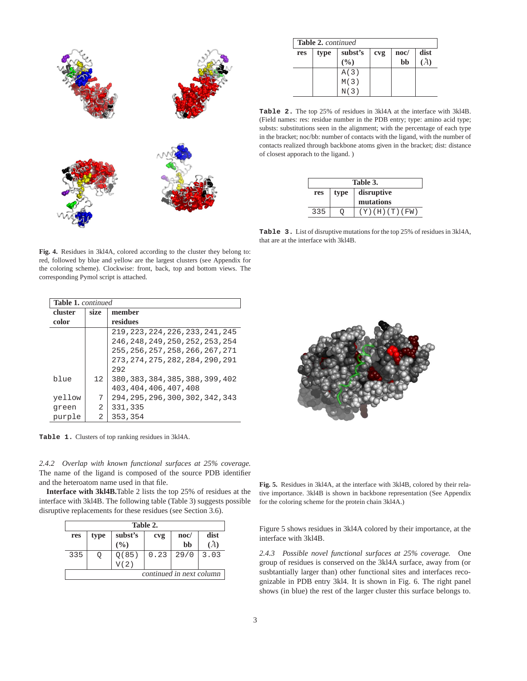

| <b>Table 2.</b> continued |      |                |     |                       |      |  |
|---------------------------|------|----------------|-----|-----------------------|------|--|
| res                       | type | subst's<br>(%) | cvg | $\mathbf{noc}/$<br>bb | dist |  |
|                           |      | A(3)           |     |                       |      |  |
|                           |      | M(3)           |     |                       |      |  |
|                           |      | N(3)           |     |                       |      |  |

**Table 2.** The top 25% of residues in 3kl4A at the interface with 3kl4B. (Field names: res: residue number in the PDB entry; type: amino acid type; substs: substitutions seen in the alignment; with the percentage of each type in the bracket; noc/bb: number of contacts with the ligand, with the number of contacts realized through backbone atoms given in the bracket; dist: distance of closest apporach to the ligand. )

| Table 3. |                    |                      |  |  |  |  |
|----------|--------------------|----------------------|--|--|--|--|
| res      | disruptive<br>type |                      |  |  |  |  |
|          |                    | mutations            |  |  |  |  |
| 335      |                    | $(Y)$ (H) $(T)$ (FW) |  |  |  |  |

**Table 3.** List of disruptive mutations for the top 25% of residues in 3kl4A, that are at the interface with 3kl4B.

**Table 1.** continued **cluster size member color residues** 219,223,224,226,233,241,245 246,248,249,250,252,253,254 255,256,257,258,266,267,271 273,274,275,282,284,290,291 292 blue | 12 | 380,383,384,385,388,399,402 403,404,406,407,408 yellow | 7 | 294,295,296,300,302,342,343 green |  $2 \mid 331,335$ purple | 2 | 353,354

**Fig. 4.** Residues in 3kl4A, colored according to the cluster they belong to: red, followed by blue and yellow are the largest clusters (see Appendix for the coloring scheme). Clockwise: front, back, top and bottom views. The

**Table 1.** Clusters of top ranking residues in 3kl4A.

corresponding Pymol script is attached.

*2.4.2 Overlap with known functional surfaces at 25% coverage.* The name of the ligand is composed of the source PDB identifier and the heteroatom name used in that file.

**Interface with 3kl4B.**Table 2 lists the top 25% of residues at the interface with 3kl4B. The following table (Table 3) suggests possible disruptive replacements for these residues (see Section 3.6).

|                          | Table 2. |         |      |                 |      |  |  |
|--------------------------|----------|---------|------|-----------------|------|--|--|
| res                      | type     | subst's | cvg  | $\mathbf{noc}/$ | dist |  |  |
|                          |          | $($ %)  |      | bb              |      |  |  |
| 335                      |          | Q(85)   | 0.23 | 29/0            | 3.03 |  |  |
|                          |          | V(2)    |      |                 |      |  |  |
| continued in next column |          |         |      |                 |      |  |  |



**Fig. 5.** Residues in 3kl4A, at the interface with 3kl4B, colored by their relative importance. 3kl4B is shown in backbone representation (See Appendix for the coloring scheme for the protein chain 3kl4A.)

Figure 5 shows residues in 3kl4A colored by their importance, at the interface with 3kl4B.

*2.4.3 Possible novel functional surfaces at 25% coverage.* One group of residues is conserved on the 3kl4A surface, away from (or susbtantially larger than) other functional sites and interfaces recognizable in PDB entry 3kl4. It is shown in Fig. 6. The right panel shows (in blue) the rest of the larger cluster this surface belongs to.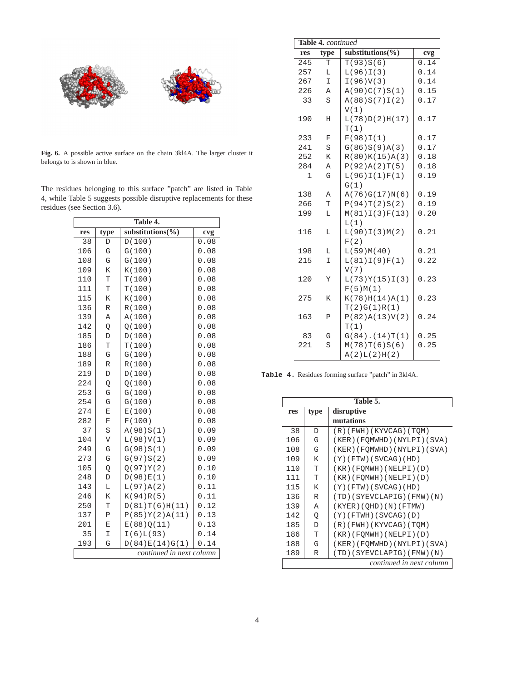

**Fig. 6.** A possible active surface on the chain 3kl4A. The larger cluster it belongs to is shown in blue.

|  | The residues belonging to this surface "patch" are listed in Table   |  |  |  |  |
|--|----------------------------------------------------------------------|--|--|--|--|
|  | 4, while Table 5 suggests possible disruptive replacements for these |  |  |  |  |
|  | residues (see Section 3.6).                                          |  |  |  |  |

| Table 4.                 |                         |                   |      |  |
|--------------------------|-------------------------|-------------------|------|--|
| res                      | type                    | substitutions (%) | cvg  |  |
| 38                       | D                       | D(100)            | 0.08 |  |
| 106                      | G                       | G(100)            | 0.08 |  |
| 108                      | G                       | G(100)            | 0.08 |  |
| 109                      | K                       | K(100)            | 0.08 |  |
| 110                      | T                       | T(100)            | 0.08 |  |
| 111                      | T                       | T(100)            | 0.08 |  |
| 115                      | K                       | K(100)            | 0.08 |  |
| 136                      | $\mathbb R$             | R(100)            | 0.08 |  |
| 139                      | A                       | A(100)            | 0.08 |  |
| 142                      | Q                       | Q(100)            | 0.08 |  |
| 185                      | D                       | D(100)            | 0.08 |  |
| 186                      | T                       | T(100)            | 0.08 |  |
| 188                      | G                       | G(100)            | 0.08 |  |
| 189                      | R                       | R(100)            | 0.08 |  |
| 219                      | D                       | D(100)            | 0.08 |  |
| 224                      | Q                       | Q(100)            | 0.08 |  |
| 253                      | G                       | G(100)            | 0.08 |  |
| 254                      | G                       | G(100)            | 0.08 |  |
| 274                      | E                       | E(100)            | 0.08 |  |
| 282                      | F                       | F(100)            | 0.08 |  |
| 37                       | S                       | A(98)S(1)         | 0.09 |  |
| 104                      | $\overline{\mathsf{V}}$ | L(98)V(1)         | 0.09 |  |
| 249                      | G                       | G(98)S(1)         | 0.09 |  |
| 273                      | G                       | G(97)S(2)         | 0.09 |  |
| 105                      | Q                       | O(97)Y(2)         | 0.10 |  |
| 248                      | D                       | D(98)E(1)         | 0.10 |  |
| 143                      | L                       | L(97)A(2)         | 0.11 |  |
| 246                      | K                       | K(94)R(5)         | 0.11 |  |
| 250                      | T                       | D(81)T(6)H(11)    | 0.12 |  |
| 137                      | Ρ                       | P(85)Y(2)A(11)    | 0.13 |  |
| 201                      | E                       | E(88)Q(11)        | 0.13 |  |
| 35                       | I                       | I(6)L(93)         | 0.14 |  |
| 193                      | G                       | D(84)E(14)G(1)    | 0.14 |  |
| continued in next column |                         |                   |      |  |

|     | Table 4. continued |                      |      |  |
|-----|--------------------|----------------------|------|--|
| res | type               | substitutions(%)     | cvg  |  |
| 245 | T                  | T(93)S(6)            | 0.14 |  |
| 257 | L                  | L(96)I(3)            | 0.14 |  |
| 267 | I                  | I(96)V(3)            | 0.14 |  |
| 226 | Α                  | A(90)C(7)S(1)        | 0.15 |  |
| 33  | S                  | A(88)S(7)I(2)        | 0.17 |  |
|     |                    | V(1)                 |      |  |
| 190 | H                  | L(78)D(2)H(17)       | 0.17 |  |
|     |                    | T(1)                 |      |  |
| 233 | F                  | F(98)I(1)            | 0.17 |  |
| 241 | S                  | G(86)S(9)A(3)        | 0.17 |  |
| 252 | K                  | R(80)K(15)A(3)       | 0.18 |  |
| 284 | Α                  | P(92)A(2)T(5)        | 0.18 |  |
| 1   | G                  | L(96)I(1)F(1)        | 0.19 |  |
|     |                    | G(1)                 |      |  |
| 138 | A                  | A(76)G(17)N(6)       | 0.19 |  |
| 266 | T                  | P(94)T(2)S(2)        | 0.19 |  |
| 199 | L                  | M(81)I(3)F(13)       | 0.20 |  |
|     |                    | L(1)                 |      |  |
| 116 | L                  | L(90)I(3)M(2)        | 0.21 |  |
|     |                    | F(2)                 |      |  |
| 198 | L                  | L(59)M(40)           | 0.21 |  |
| 215 | $\mathbbm{I}$      | L(81)I(9)F(1)        | 0.22 |  |
|     |                    | V(7)                 |      |  |
| 120 | Y                  | L(73)Y(15)I(3)       | 0.23 |  |
|     |                    | F(5)M(1)             |      |  |
| 275 | K                  | K(78)H(14)A(1)       | 0.23 |  |
|     |                    | T(2)G(1)R(1)         |      |  |
| 163 | $\mathbf P$        | P(82)A(13)V(2)       | 0.24 |  |
|     |                    | T(1)                 |      |  |
| 83  | G                  | $G(84)$ . $(14)T(1)$ | 0.25 |  |
| 221 | S                  | M(78)T(6)S(6)        | 0.25 |  |
|     |                    | A(2)L(2)H(2)         |      |  |

**Table 4.** Residues forming surface "patch" in 3kl4A.

|     | Table 5.                 |                            |  |  |
|-----|--------------------------|----------------------------|--|--|
| res | type                     | disruptive                 |  |  |
|     |                          | mutations                  |  |  |
| 38  | D                        | (R)(FWH)(KYVCAG)(TQM)      |  |  |
| 106 | G                        | (KER)(FOMWHD)(NYLPI)(SVA)  |  |  |
| 108 | G                        | (KER)(FOMWHD)(NYLPI)(SVA)  |  |  |
| 109 | K                        | $(Y)$ (FTW) (SVCAG) (HD)   |  |  |
| 110 | T                        | (KR)(FOMWH)(NELPI)(D)      |  |  |
| 111 | T                        | $(KR)$ (FOMWH) (NELPI) (D) |  |  |
| 115 | K                        | $(Y)$ (FTW) (SVCAG) (HD)   |  |  |
| 136 | R                        | (TD)(SYEVCLAPIG)(FMW)(N)   |  |  |
| 139 | Α                        | (KYER) (QHD) (N) (FTMW)    |  |  |
| 142 | Q                        | $(Y)$ (FTWH) (SVCAG) (D)   |  |  |
| 185 | D                        | $(R)$ (FWH) (KYVCAG) (TQM) |  |  |
| 186 | Т                        | $(KR)$ (FOMWH) (NELPI) (D) |  |  |
| 188 | G                        | (KER)(FQMWHD)(NYLPI)(SVA)  |  |  |
| 189 | R                        | (TD)(SYEVCLAPIG)(FMW)(N)   |  |  |
|     | continued in next column |                            |  |  |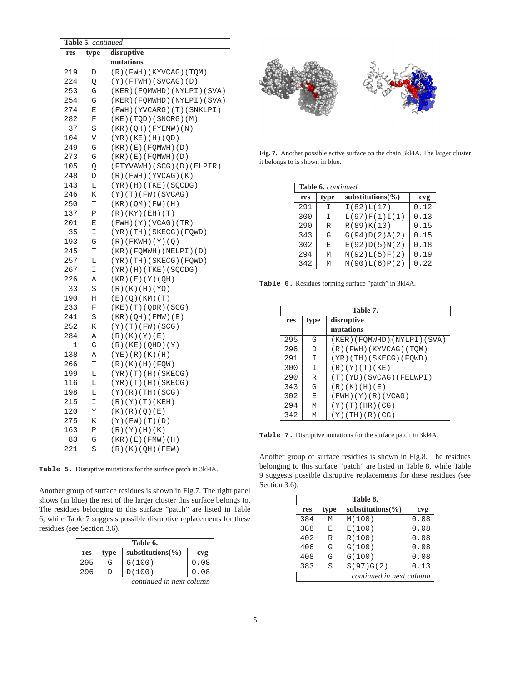|     | Table 5. continued |                                |  |  |  |
|-----|--------------------|--------------------------------|--|--|--|
| res | type               | disruptive                     |  |  |  |
|     |                    | mutations                      |  |  |  |
| 219 | D                  | (R)(FWH)(KYVCAG)(TQM)          |  |  |  |
| 224 | Q                  | $(Y)$ (FTWH) (SVCAG) (D)       |  |  |  |
| 253 | G                  | (KER)(FOMWHD)(NYLPI)(SVA)      |  |  |  |
| 254 | G                  | (KER) (FQMWHD) (NYLPI) (SVA)   |  |  |  |
| 274 | E                  | (FWH)(YVCARG)(T)(SNKLPI)       |  |  |  |
| 282 | F                  | (KE)(TQD)(SNCRG)(M)            |  |  |  |
| 37  | S                  | (KR) (QH) (FYEMW) (N)          |  |  |  |
| 104 | V                  | (YR) (KE) (H) (QD)             |  |  |  |
| 249 | G                  | (KR) (E) (FOMWH) (D)           |  |  |  |
| 273 | G                  | (KR) (E) (FOMWH) (D)           |  |  |  |
| 105 | Q                  | (FTYVAWH)(SCG)(D)(ELPIR)       |  |  |  |
| 248 | D                  | (R)(FWH)(YVCAG)(K)             |  |  |  |
| 143 | L                  | $(YR)$ (H) $(TKE)$ (SQCDG)     |  |  |  |
| 246 | Κ                  | (Y)(T)(FW)(SVCAG)              |  |  |  |
| 250 | Т                  | (KR) (QM) (FW) (H)             |  |  |  |
| 137 | Ρ                  | (R)(KY)(EH)(T)                 |  |  |  |
| 201 | Ε                  | (FWH)(Y)(VCAG)(TR)             |  |  |  |
| 35  | I                  | (YR)(TH)(SKECG)(FQWD)          |  |  |  |
| 193 | G                  | $(R)$ (FKWH) $(Y)$ (Q)         |  |  |  |
| 245 | Т                  | (KR)(FQMWH)(NELPI)(D)          |  |  |  |
| 257 | L                  | (YR)(TH)(SKECG)(FQWD)          |  |  |  |
| 267 | I                  | $(YR)$ (H) (TKE) (SQCDG)       |  |  |  |
| 226 | Α                  | (KR) (E) (Y) (QH)              |  |  |  |
| 33  | S                  | (R)(K)(H)(YQ)                  |  |  |  |
| 190 | Η                  | (E)(Q)(KM)(T)                  |  |  |  |
| 233 | F                  | $(KE)$ $(T)$ $(QDR)$ $(SCG)$   |  |  |  |
| 241 | S                  | (KR) (QH) (FMW) (E)            |  |  |  |
| 252 | К                  | (Y)(T)(FW)(SCG)                |  |  |  |
| 284 | Α                  | (R)(K)(Y)(E)                   |  |  |  |
| 1   | G                  | (R)(KE)(QHD)(Y)                |  |  |  |
| 138 | Α                  | (YE)(R)(K)(H)                  |  |  |  |
| 266 | Т                  | (R)(K)(H)(FQW)                 |  |  |  |
| 199 | L                  | (YR)(T)(H)(SKECG)              |  |  |  |
| 116 | L                  | (YR)(T)(H)(SKECG)              |  |  |  |
| 198 | Г                  | (Y)(R)(TH)(SCG)                |  |  |  |
| 215 | Ι                  | (R)(Y)(T)(KEH)                 |  |  |  |
| 120 | Υ                  | (K)(R)(Q)(E)                   |  |  |  |
| 275 | К                  | (Y)(FW)(T)(D)                  |  |  |  |
| 163 | Ρ                  | $(R)$ ( $Y$ ) $(H)$ ( $K$ )    |  |  |  |
| 83  | G                  | $(KR)$ ( $E$ ) $(KMW)$ ( $H$ ) |  |  |  |
| 221 | S                  | (R)(K)(OH)(FEW)                |  |  |  |

**Table 5.** Disruptive mutations for the surface patch in 3kl4A.

Another group of surface residues is shown in Fig.7. The right panel shows (in blue) the rest of the larger cluster this surface belongs to. The residues belonging to this surface "patch" are listed in Table 6, while Table 7 suggests possible disruptive replacements for these residues (see Section 3.6).

| Table 6.                 |      |                       |      |  |
|--------------------------|------|-----------------------|------|--|
| res                      | type | substitutions $(\% )$ | cvg  |  |
| 295                      | G    | G(100)                | 0.08 |  |
| 296                      | D    | D(100)                | 0.08 |  |
| continued in next column |      |                       |      |  |



**Fig. 7.** Another possible active surface on the chain 3kl4A. The larger cluster it belongs to is shown in blue.

| <b>Table 6.</b> continued |      |                    |      |
|---------------------------|------|--------------------|------|
| res                       | type | substitutions $\%$ | cvg  |
| 291                       | T    | I(82)L(17)         | 0.12 |
| 300                       | I    | L(97)F(1)I(1)      | 0.13 |
| 290                       | R    | R(89)K(10)         | 0.15 |
| 343                       | G    | G(94)D(2)A(2)      | 0.15 |
| 302                       | F.   | E(92)D(5)N(2)      | 0.18 |
| 294                       | M    | M(92)L(5)F(2)      | 0.19 |
| 342                       | M    | M(90)L(6)P(2)      | 0.22 |

**Table 6.** Residues forming surface "patch" in 3kl4A.

| Table 7. |      |                              |
|----------|------|------------------------------|
| res      | type | disruptive                   |
|          |      | mutations                    |
| 295      | G    | (KER) (FQMWHD) (NYLPI) (SVA) |
| 296      | D    | $(R)$ (FWH) (KYVCAG) (TOM)   |
| 291      | I    | $(YR)$ (TH) (SKECG) (FOWD)   |
| 300      | T    | (R)(Y)(T)(KE)                |
| 290      | R    | (T) (YD) (SVCAG) (FELWPI)    |
| 343      | G    | (R)(K)(H)(E)                 |
| 302      | E    | (FWH)(Y)(R)(VCAG)            |
| 294      | M    | (Y)(T)(HR)(CG)               |
| 342      | M    | $(Y)$ (TH) $(R)$ (CG)        |

**Table 7.** Disruptive mutations for the surface patch in 3kl4A.

Another group of surface residues is shown in Fig.8. The residues belonging to this surface "patch" are listed in Table 8, while Table 9 suggests possible disruptive replacements for these residues (see Section 3.6).

| Table 8. |      |                          |      |
|----------|------|--------------------------|------|
| res      | type | substitutions $(\% )$    | cvg  |
| 384      | M    | M(100)                   | 0.08 |
| 388      | E    | E(100)                   | 0.08 |
| 402      | R    | R(100)                   | 0.08 |
| 406      | G    | G(100)                   | 0.08 |
| 408      | G    | G(100)                   | 0.08 |
| 383      | S    | S(97)G(2)                | 0.13 |
|          |      | continued in next column |      |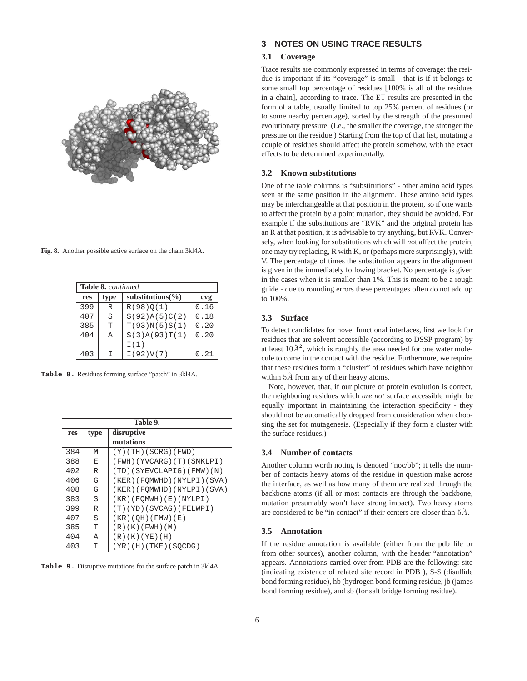

**Fig. 8.** Another possible active surface on the chain 3kl4A.

| <b>Table 8.</b> continued |      |                       |      |
|---------------------------|------|-----------------------|------|
| res                       | type | substitutions $(\% )$ | cvg  |
| 399                       | R    | R(98)0(1)             | 0.16 |
| 407                       | S    | S(92)A(5)C(2)         | 0.18 |
| 385                       | Τ    | T(93)N(5)S(1)         | 0.20 |
| 404                       | Α    | S(3)A(93)T(1)         | 0.20 |
|                           |      | I(1)                  |      |
| 403                       | т    | I(92)V(7)             | 0.21 |

**Table 8.** Residues forming surface "patch" in 3kl4A.

| Table 9. |      |                              |  |
|----------|------|------------------------------|--|
| res      | type | disruptive                   |  |
|          |      | mutations                    |  |
| 384      | М    | (Y)(TH)(SCRG)(FWD)           |  |
| 388      | E    | (FWH)(YVCARG)(T)(SNKLPI)     |  |
| 402      | R    | (TD)(SYEVCLAPIG)(FMW)(N)     |  |
| 406      | G    | (KER) (FOMWHD) (NYLPI) (SVA) |  |
| 408      | G    | (KER) (FOMWHD) (NYLPI) (SVA) |  |
| 383      | S    | (KR)(FQMWH)(E)(NYLPI)        |  |
| 399      | R    | (T) (YD) (SVCAG) (FELWPI)    |  |
| 407      | S    | (KR) (QH) (FMW) (E)          |  |
| 385      | T    | (R)(K)(FWH)(M)               |  |
| 404      | Α    | (R)(K)(YE)(H)                |  |
| 403      | I    | $(YR)$ (H) (TKE) (SOCDG)     |  |

**Table 9.** Disruptive mutations for the surface patch in 3kl4A.

# **3 NOTES ON USING TRACE RESULTS**

#### **3.1 Coverage**

Trace results are commonly expressed in terms of coverage: the residue is important if its "coverage" is small - that is if it belongs to some small top percentage of residues [100% is all of the residues in a chain], according to trace. The ET results are presented in the form of a table, usually limited to top 25% percent of residues (or to some nearby percentage), sorted by the strength of the presumed evolutionary pressure. (I.e., the smaller the coverage, the stronger the pressure on the residue.) Starting from the top of that list, mutating a couple of residues should affect the protein somehow, with the exact effects to be determined experimentally.

# **3.2 Known substitutions**

One of the table columns is "substitutions" - other amino acid types seen at the same position in the alignment. These amino acid types may be interchangeable at that position in the protein, so if one wants to affect the protein by a point mutation, they should be avoided. For example if the substitutions are "RVK" and the original protein has an R at that position, it is advisable to try anything, but RVK. Conversely, when looking for substitutions which will *n*ot affect the protein, one may try replacing, R with K, or (perhaps more surprisingly), with V. The percentage of times the substitution appears in the alignment is given in the immediately following bracket. No percentage is given in the cases when it is smaller than 1%. This is meant to be a rough guide - due to rounding errors these percentages often do not add up to 100%.

### **3.3 Surface**

To detect candidates for novel functional interfaces, first we look for residues that are solvent accessible (according to DSSP program) by at least  $10\AA^2$ , which is roughly the area needed for one water molecule to come in the contact with the residue. Furthermore, we require that these residues form a "cluster" of residues which have neighbor within  $5\AA$  from any of their heavy atoms.

Note, however, that, if our picture of protein evolution is correct, the neighboring residues which *are not* surface accessible might be equally important in maintaining the interaction specificity - they should not be automatically dropped from consideration when choosing the set for mutagenesis. (Especially if they form a cluster with the surface residues.)

#### **3.4 Number of contacts**

Another column worth noting is denoted "noc/bb"; it tells the number of contacts heavy atoms of the residue in question make across the interface, as well as how many of them are realized through the backbone atoms (if all or most contacts are through the backbone, mutation presumably won't have strong impact). Two heavy atoms are considered to be "in contact" if their centers are closer than  $5\AA$ .

## **3.5 Annotation**

If the residue annotation is available (either from the pdb file or from other sources), another column, with the header "annotation" appears. Annotations carried over from PDB are the following: site (indicating existence of related site record in PDB ), S-S (disulfide bond forming residue), hb (hydrogen bond forming residue, jb (james bond forming residue), and sb (for salt bridge forming residue).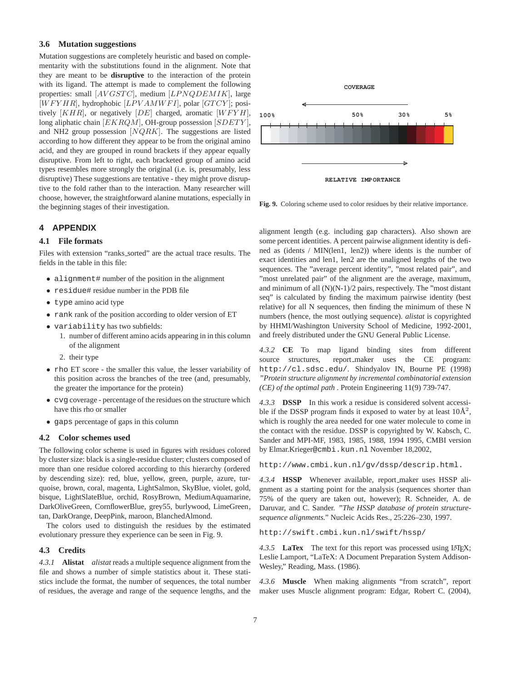#### **3.6 Mutation suggestions**

Mutation suggestions are completely heuristic and based on complementarity with the substitutions found in the alignment. Note that they are meant to be **disruptive** to the interaction of the protein with its ligand. The attempt is made to complement the following properties: small [AVGSTC], medium [LPNQDEMIK], large  $[WFYHR]$ , hydrophobic  $[LPVAMWFI]$ , polar  $[GTCY]$ ; positively  $[KHR]$ , or negatively  $[DE]$  charged, aromatic  $[WFYH]$ , long aliphatic chain  $[EKRQM]$ , OH-group possession  $[SDETY]$ , and NH2 group possession  $[NQRK]$ . The suggestions are listed according to how different they appear to be from the original amino acid, and they are grouped in round brackets if they appear equally disruptive. From left to right, each bracketed group of amino acid types resembles more strongly the original (i.e. is, presumably, less disruptive) These suggestions are tentative - they might prove disruptive to the fold rather than to the interaction. Many researcher will choose, however, the straightforward alanine mutations, especially in the beginning stages of their investigation.

## **4 APPENDIX**

### **4.1 File formats**

Files with extension "ranks sorted" are the actual trace results. The fields in the table in this file:

- alignment# number of the position in the alignment
- residue# residue number in the PDB file
- type amino acid type
- rank rank of the position according to older version of ET
- variability has two subfields:
	- 1. number of different amino acids appearing in in this column of the alignment
	- 2. their type
- rho ET score the smaller this value, the lesser variability of this position across the branches of the tree (and, presumably, the greater the importance for the protein)
- cvg coverage percentage of the residues on the structure which have this rho or smaller
- gaps percentage of gaps in this column

#### **4.2 Color schemes used**

The following color scheme is used in figures with residues colored by cluster size: black is a single-residue cluster; clusters composed of more than one residue colored according to this hierarchy (ordered by descending size): red, blue, yellow, green, purple, azure, turquoise, brown, coral, magenta, LightSalmon, SkyBlue, violet, gold, bisque, LightSlateBlue, orchid, RosyBrown, MediumAquamarine, DarkOliveGreen, CornflowerBlue, grey55, burlywood, LimeGreen, tan, DarkOrange, DeepPink, maroon, BlanchedAlmond.

The colors used to distinguish the residues by the estimated evolutionary pressure they experience can be seen in Fig. 9.

#### **4.3 Credits**

*4.3.1* **Alistat** *alistat* reads a multiple sequence alignment from the file and shows a number of simple statistics about it. These statistics include the format, the number of sequences, the total number of residues, the average and range of the sequence lengths, and the



**Fig. 9.** Coloring scheme used to color residues by their relative importance.

alignment length (e.g. including gap characters). Also shown are some percent identities. A percent pairwise alignment identity is defined as (idents / MIN(len1, len2)) where idents is the number of exact identities and len1, len2 are the unaligned lengths of the two sequences. The "average percent identity", "most related pair", and "most unrelated pair" of the alignment are the average, maximum, and minimum of all (N)(N-1)/2 pairs, respectively. The "most distant seq" is calculated by finding the maximum pairwise identity (best relative) for all N sequences, then finding the minimum of these N numbers (hence, the most outlying sequence). *alistat* is copyrighted by HHMI/Washington University School of Medicine, 1992-2001, and freely distributed under the GNU General Public License.

*4.3.2* **CE** To map ligand binding sites from different source structures, report maker uses the CE program: http://cl.sdsc.edu/. Shindyalov IN, Bourne PE (1998) *"Protein structure alignment by incremental combinatorial extension (CE) of the optimal path* . Protein Engineering 11(9) 739-747.

*4.3.3* **DSSP** In this work a residue is considered solvent accessible if the DSSP program finds it exposed to water by at least  $10\text{\AA}^2$ , which is roughly the area needed for one water molecule to come in the contact with the residue. DSSP is copyrighted by W. Kabsch, C. Sander and MPI-MF, 1983, 1985, 1988, 1994 1995, CMBI version by Elmar.Krieger@cmbi.kun.nl November 18,2002,

http://www.cmbi.kun.nl/gv/dssp/descrip.html.

*4.3.4* **HSSP** Whenever available, report maker uses HSSP alignment as a starting point for the analysis (sequences shorter than 75% of the query are taken out, however); R. Schneider, A. de Daruvar, and C. Sander. *"The HSSP database of protein structuresequence alignments."* Nucleic Acids Res., 25:226–230, 1997.

http://swift.cmbi.kun.nl/swift/hssp/

4.3.5 **LaTex** The text for this report was processed using LAT<sub>EX</sub>; Leslie Lamport, "LaTeX: A Document Preparation System Addison-Wesley," Reading, Mass. (1986).

*4.3.6* **Muscle** When making alignments "from scratch", report maker uses Muscle alignment program: Edgar, Robert C. (2004),